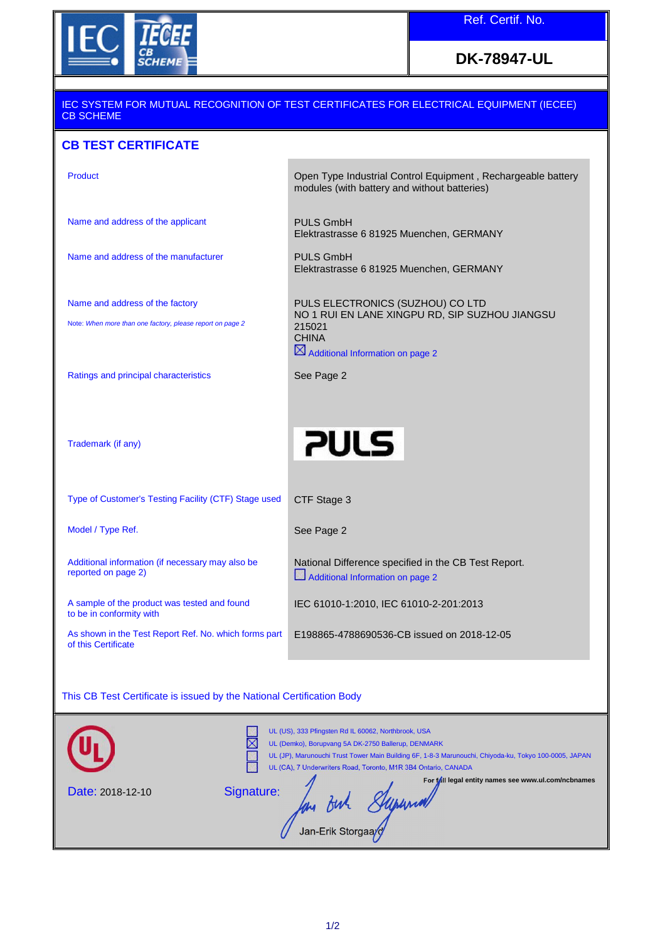

## **DK-78947-UL**

# IEC SYSTEM FOR MUTUAL RECOGNITION OF TEST CERTIFICATES FOR ELECTRICAL EQUIPMENT (IECEE) CB SCHEME

### **CB TEST CERTIFICATE**

Name and address of the applicant PULS GmbH

Name and address of the manufacturer PULS GmbH

Product Product Product Control Equipment , Rechargeable battery modules (with battery and without batteries)

Elektrastrasse 6 81925 Muenchen, GERMANY

Elektrastrasse 6 81925 Muenchen, GERMANY

Name and address of the factory

Note: When more than one factory, please report on page 2

PULS ELECTRONICS (SUZHOU) CO LTD NO 1 RUI EN LANE XINGPU RD, SIP SUZHOU JIANGSU 215021 **CHINA**  $\boxtimes$  Additional Information on page 2

Ratings and principal characteristics

See Page 2

Trademark (if any)

Type of Customer's Testing Facility (CTF) Stage used CTF Stage 3

Model / Type Ref. The See Page 2

Additional information (if necessary may also be reported on page 2)

A sample of the product was tested and found to be in conformity with

As shown in the Test Report Ref. No. which forms part of this Certificate

**PULS** 

National Difference specified in the CB Test Report. Additional Information on page 2

IEC 61010-1:2010, IEC 61010-2-201:2013

E198865-4788690536-CB issued on 2018-12-05

#### This CB Test Certificate is issued by the National Certification Body

|                         | UL (US), 333 Pfingsten Rd IL 60062, Northbrook, USA<br>×<br>UL (Demko), Borupvang 5A DK-2750 Ballerup, DENMARK<br>UL (JP), Marunouchi Trust Tower Main Building 6F, 1-8-3 Marunouchi, Chiyoda-ku, Tokyo 100-0005, JAPAN<br>UL (CA), 7 Underwriters Road, Toronto, M1R 3B4 Ontario, CANADA |
|-------------------------|-------------------------------------------------------------------------------------------------------------------------------------------------------------------------------------------------------------------------------------------------------------------------------------------|
| <b>Date: 2018-12-10</b> | For fall legal entity names see www.ul.com/ncbnames<br>Signature:<br>Jan-Erik Storgaay                                                                                                                                                                                                    |